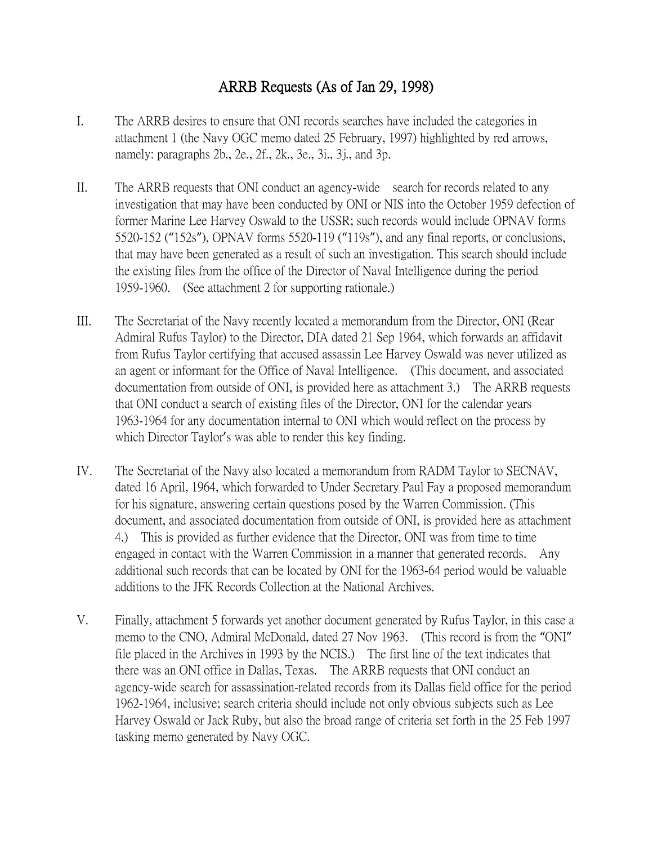## ARRB Requests (As of Jan 29, 1998)

- I. The ARRB desires to ensure that ONI records searches have included the categories in attachment 1 (the Navy OGC memo dated 25 February, 1997) highlighted by red arrows, namely: paragraphs 2b., 2e., 2f., 2k., 3e., 3i., 3j., and 3p.
- II. The ARRB requests that ONI conduct an agency-wide search for records related to any investigation that may have been conducted by ONI or NIS into the October 1959 defection of former Marine Lee Harvey Oswald to the USSR; such records would include OPNAV forms 5520-152 ("152s"), OPNAV forms 5520-119 ("119s"), and any final reports, or conclusions, that may have been generated as a result of such an investigation. This search should include the existing files from the office of the Director of Naval Intelligence during the period 1959-1960. (See attachment 2 for supporting rationale.)
- III. The Secretariat of the Navy recently located a memorandum from the Director, ONI (Rear Admiral Rufus Taylor) to the Director, DIA dated 21 Sep 1964, which forwards an affidavit from Rufus Taylor certifying that accused assassin Lee Harvey Oswald was never utilized as an agent or informant for the Office of Naval Intelligence. (This document, and associated documentation from outside of ONI, is provided here as attachment 3.) The ARRB requests that ONI conduct a search of existing files of the Director, ONI for the calendar years 1963-1964 for any documentation internal to ONI which would reflect on the process by which Director Taylor's was able to render this key finding.
- IV. The Secretariat of the Navy also located a memorandum from RADM Taylor to SECNAV, dated 16 April, 1964, which forwarded to Under Secretary Paul Fay a proposed memorandum for his signature, answering certain questions posed by the Warren Commission. (This document, and associated documentation from outside of ONI, is provided here as attachment 4.) This is provided as further evidence that the Director, ONI was from time to time engaged in contact with the Warren Commission in a manner that generated records. Any additional such records that can be located by ONI for the 1963-64 period would be valuable additions to the JFK Records Collection at the National Archives.
- V. Finally, attachment 5 forwards yet another document generated by Rufus Taylor, in this case a memo to the CNO, Admiral McDonald, dated 27 Nov 1963. (This record is from the "ONI" file placed in the Archives in 1993 by the NCIS.) The first line of the text indicates that there was an ONI office in Dallas, Texas. The ARRB requests that ONI conduct an agency-wide search for assassination-related records from its Dallas field office for the period 1962-1964, inclusive; search criteria should include not only obvious subjects such as Lee Harvey Oswald or Jack Ruby, but also the broad range of criteria set forth in the 25 Feb 1997 tasking memo generated by Navy OGC.